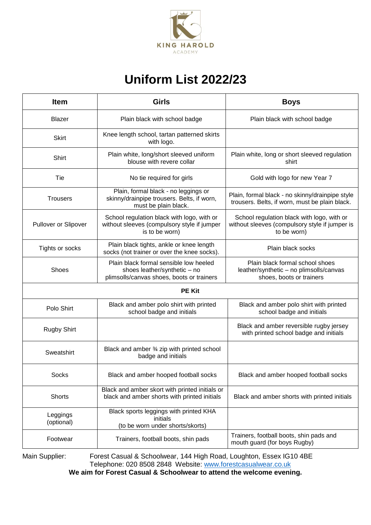

## **Uniform List 2022/23**

| <b>Item</b>            | <b>Girls</b>                                                                                                        | <b>Boys</b>                                                                                                 |
|------------------------|---------------------------------------------------------------------------------------------------------------------|-------------------------------------------------------------------------------------------------------------|
| <b>Blazer</b>          | Plain black with school badge                                                                                       | Plain black with school badge                                                                               |
| <b>Skirt</b>           | Knee length school, tartan patterned skirts<br>with logo.                                                           |                                                                                                             |
| Shirt                  | Plain white, long/short sleeved uniform<br>blouse with revere collar                                                | Plain white, long or short sleeved regulation<br>shirt                                                      |
| Tie                    | No tie required for girls                                                                                           | Gold with logo for new Year 7                                                                               |
| <b>Trousers</b>        | Plain, formal black - no leggings or<br>skinny/drainpipe trousers. Belts, if worn,<br>must be plain black.          | Plain, formal black - no skinny/drainpipe style<br>trousers. Belts, if worn, must be plain black.           |
| Pullover or Slipover   | School regulation black with logo, with or<br>without sleeves (compulsory style if jumper<br>is to be worn)         | School regulation black with logo, with or<br>without sleeves (compulsory style if jumper is<br>to be worn) |
| Tights or socks        | Plain black tights, ankle or knee length<br>socks (not trainer or over the knee socks).                             | Plain black socks                                                                                           |
| <b>Shoes</b>           | Plain black formal sensible low heeled<br>shoes leather/synthetic - no<br>plimsolls/canvas shoes, boots or trainers | Plain black formal school shoes<br>leather/synthetic - no plimsolls/canvas<br>shoes, boots or trainers      |
| <b>PE Kit</b>          |                                                                                                                     |                                                                                                             |
| Polo Shirt             | Black and amber polo shirt with printed<br>school badge and initials                                                | Black and amber polo shirt with printed<br>school badge and initials                                        |
| <b>Rugby Shirt</b>     |                                                                                                                     | Black and amber reversible rugby jersey<br>with printed school badge and initials                           |
| Sweatshirt             | Black and amber 3⁄4 zip with printed school<br>badge and initials                                                   |                                                                                                             |
| <b>Socks</b>           | Black and amber hooped football socks                                                                               | Black and amber hooped football socks                                                                       |
| <b>Shorts</b>          | Black and amber skort with printed initials or<br>black and amber shorts with printed initials                      | Black and amber shorts with printed initials                                                                |
| Leggings<br>(optional) | Black sports leggings with printed KHA<br>initials<br>(to be worn under shorts/skorts)                              |                                                                                                             |
| Footwear               | Trainers, football boots, shin pads                                                                                 | Trainers, football boots, shin pads and<br>mouth guard (for boys Rugby)                                     |

Main Supplier: Forest Casual & Schoolwear, 144 High Road, Loughton, Essex IG10 4BE Telephone: 020 8508 2848 Website: [www.forestcasualwear.co.uk](http://www.forestcasualwear.co.uk/)

**We aim for Forest Casual & Schoolwear to attend the welcome evening.**